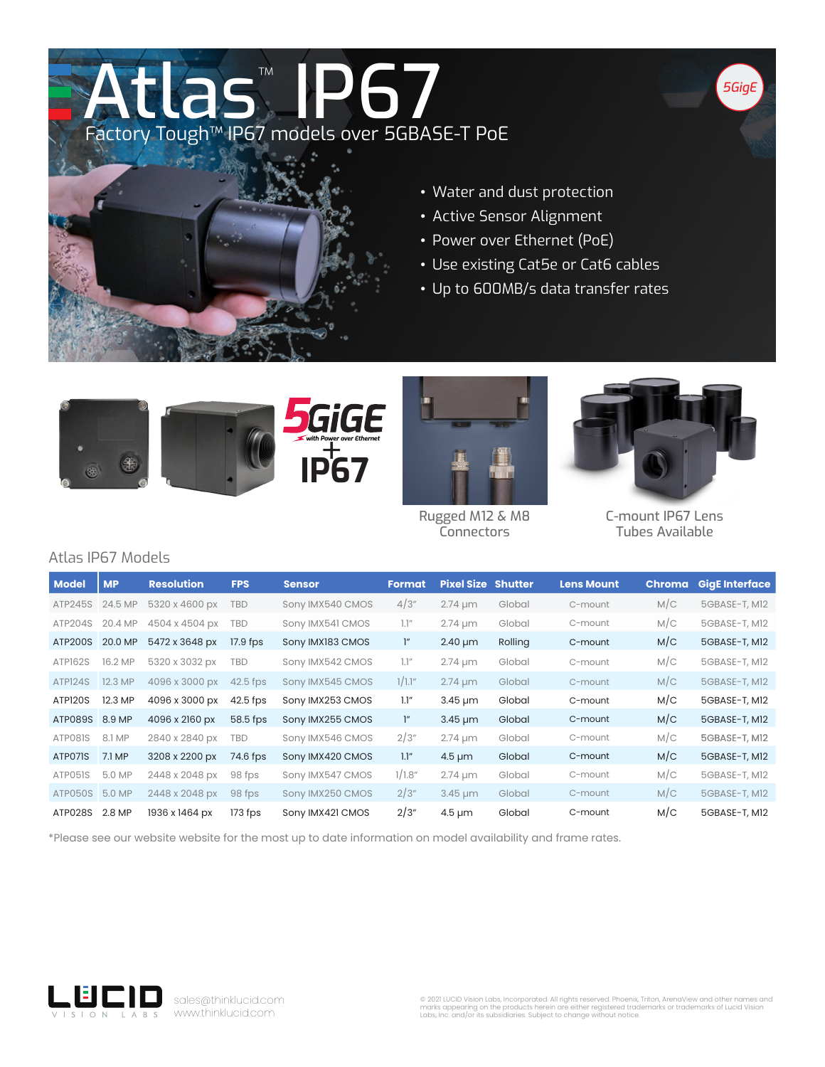## Atlas™ P67 Factory Tough™ IP67 models over 5GBASE-T PoE



- Water and dust protection
- Active Sensor Alignment
- Power over Ethernet (PoE)
- Use existing Cat5e or Cat6 cables
- Up to 600MB/s data transfer rates





Rugged M12 & M8 **Connectors** 



*5GigE*

C-mount IP67 Lens Tubes Available

## Atlas IP67 Models

| <b>Model</b>        | <b>MP</b> | <b>Resolution</b> | <b>FPS</b> | <b>Sensor</b>    | <b>Format</b> | <b>Pixel Size Shutter</b> |         | <b>Lens Mount</b> | <b>Chroma</b> | <b>GigE Interface</b> |
|---------------------|-----------|-------------------|------------|------------------|---------------|---------------------------|---------|-------------------|---------------|-----------------------|
| ATP245S             | 24.5 MP   | 5320 x 4600 px    | <b>TBD</b> | Sony IMX540 CMOS | 4/3"          | $2.74 \mu m$              | Global  | C-mount           | M/C           | 5GBASE-T, M12         |
| ATP204S             | 20.4 MP   | 4504 x 4504 px    | <b>TBD</b> | Sony IMX541 CMOS | 1.1''         | $2.74 \mu m$              | Global  | C-mount           | M/C           | 5GBASE-T, M12         |
| ATP200S             | 20.0 MP   | 5472 x 3648 px    | $17.9$ fps | Sony IMX183 CMOS | $\mathcal{L}$ | $2.40 \mu m$              | Rolling | C-mount           | M/C           | 5GBASE-T, M12         |
| ATP162S             | 16.2 MP   | 5320 x 3032 px    | <b>TBD</b> | Sony IMX542 CMOS | 1.1''         | $2.74 \mu m$              | Global  | C-mount           | M/C           | 5GBASE-T, M12         |
| ATP <sub>124S</sub> | 12.3 MP   | 4096 x 3000 px    | $42.5$ fps | Sony IMX545 CMOS | 1/1.1"        | $2.74 \mu m$              | Global  | C-mount           | M/C           | 5GBASE-T, M12         |
| ATP <sub>120S</sub> | 12.3 MP   | 4096 x 3000 px    | $42.5$ fps | Sony IMX253 CMOS | 1.1''         | $3.45 \mu m$              | Global  | C-mount           | M/C           | 5GBASE-T, M12         |
| ATP089S 8.9 MP      |           | 4096 x 2160 px    | 58.5 fps   | Sony IMX255 CMOS | $\cdot$       | $3.45 \mu m$              | Global  | C-mount           | M/C           | 5GBASE-T, M12         |
| ATP081S             | 8.1 MP    | 2840 x 2840 px    | <b>TBD</b> | Sony IMX546 CMOS | 2/3"          | $2.74 \mu m$              | Global  | C-mount           | M/C           | 5GBASE-T, M12         |
| ATP071S             | 7.1 MP    | 3208 x 2200 px    | 74.6 fps   | Sony IMX420 CMOS | 1.1"          | $4.5 \mu m$               | Global  | C-mount           | M/C           | 5GBASE-T, M12         |
| ATP051S             | 5.0 MP    | 2448 x 2048 px    | 98 fps     | Sony IMX547 CMOS | 1/1.8"        | $2.74 \mu m$              | Global  | C-mount           | M/C           | 5GBASE-T, M12         |
| ATP050S             | 5.0 MP    | 2448 x 2048 px    | 98 fps     | Sony IMX250 CMOS | 2/3"          | $3.45 \mu m$              | Global  | C-mount           | M/C           | 5GBASE-T, M12         |
| ATP028S             | 2.8 MP    | 1936 x 1464 px    | $173$ fps  | Sony IMX421 CMOS | 2/3"          | $4.5 \mu m$               | Global  | C-mount           | M/C           | 5GBASE-T, M12         |

\*Please see our website website for the most up to date information on model availability and frame rates.



sales@thinklucid.com www.thinklucid.com